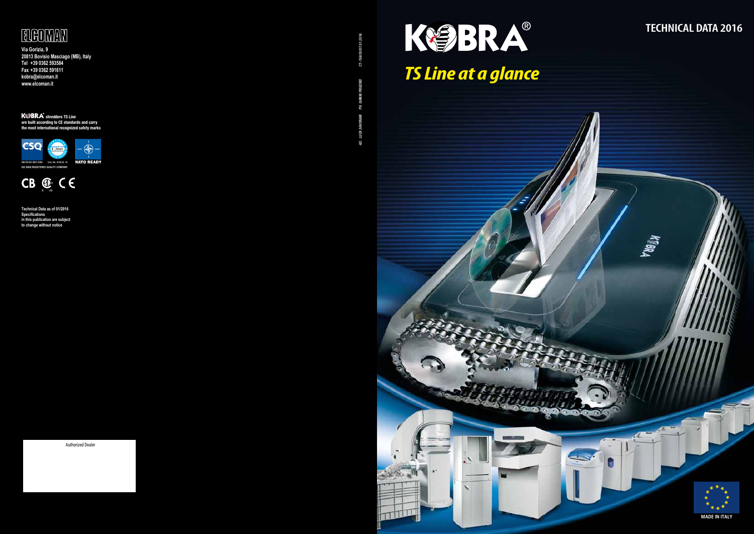

## **TECHNICAL DATA 2016**







*AD. LUCA SAVORANI PH. GIANNI FRIGERIO* CT-156/03/07.01.2016 نو



**Via Gorizia, 9 20813 Bovisio Masciago (MB), Italy Tel +39 0362 593584 Fax +39 0362 591611 kobra@elcoman.it www.elcoman.it**

**KSBKA** shredders TS Line are built according to CE standards and carry the most international recognized safety marks

**Technical Data as of 01/2016 Specifications in this publication are subject to change without notice**

Authorized Dealer